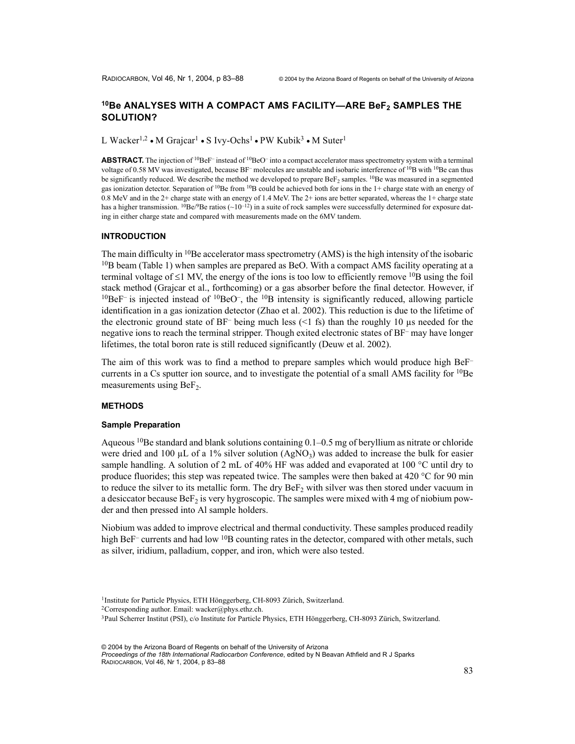# <sup>10</sup>Be ANALYSES WITH A COMPACT AMS FACILITY—ARE BeF<sub>2</sub> SAMPLES THE **SOLUTION?**

L Wacker<sup>1,2</sup> • M Grajcar<sup>1</sup> • S Ivy-Ochs<sup>1</sup> • PW Kubik<sup>3</sup> • M Suter<sup>1</sup>

ABSTRACT. The injection of <sup>10</sup>BeF<sup>–</sup> instead of <sup>10</sup>BeO<sup>–</sup> into a compact accelerator mass spectrometry system with a terminal voltage of 0.58 MV was investigated, because BF<sup>-</sup> molecules are unstable and isobaric interference of <sup>10</sup>B with <sup>10</sup>Be can thus be significantly reduced. We describe the method we developed to prepare  $Bef_2$  samples. <sup>10</sup>Be was measured in a segmented gas ionization detector. Separation of  $10Be$  from  $10B$  could be achieved both for ions in the 1+ charge state with an energy of 0.8 MeV and in the 2+ charge state with an energy of 1.4 MeV. The 2+ ions are better separated, whereas the 1+ charge state has a higher transmission. <sup>10</sup>Be/<sup>9</sup>Be ratios (~10<sup>-12</sup>) in a suite of rock samples were successfully determined for exposure dating in either charge state and compared with measurements made on the 6MV tandem.

### **INTRODUCTION**

The main difficulty in  $10Be$  accelerator mass spectrometry (AMS) is the high intensity of the isobaric  $10B$  beam (Table 1) when samples are prepared as BeO. With a compact AMS facility operating at a terminal voltage of  $\leq 1$  MV, the energy of the ions is too low to efficiently remove <sup>10</sup>B using the foil stack method (Grajcar et al., forthcoming) or a gas absorber before the final detector. However, if  $10\text{BeF}$ – is injected instead of  $10\text{BeO}$ –, the  $10\text{B}$  intensity is significantly reduced, allowing particle identification in a gas ionization detector (Zhao et al. 2002). This reduction is due to the lifetime of the electronic ground state of  $BF^-$  being much less (<1 fs) than the roughly 10  $\mu$ s needed for the negative ions to reach the terminal stripper. Though exited electronic states of BF– may have longer lifetimes, the total boron rate is still reduced significantly (Deuw et al. 2002).

The aim of this work was to find a method to prepare samples which would produce high BeF– currents in a Cs sputter ion source, and to investigate the potential of a small AMS facility for  ${}^{10}Be$ measurements using  $BeF<sub>2</sub>$ .

### **METHODS**

### **Sample Preparation**

Aqueous <sup>10</sup>Be standard and blank solutions containing  $0.1-0.5$  mg of beryllium as nitrate or chloride were dried and 100 µL of a 1% silver solution  $(AgNO<sub>3</sub>)$  was added to increase the bulk for easier sample handling. A solution of 2 mL of 40% HF was added and evaporated at 100  $^{\circ}$ C until dry to produce fluorides; this step was repeated twice. The samples were then baked at 420  $^{\circ}$ C for 90 min to reduce the silver to its metallic form. The dry  $B\epsilon F_2$  with silver was then stored under vacuum in a desiccator because BeF<sub>2</sub> is very hygroscopic. The samples were mixed with 4 mg of niobium powder and then pressed into Al sample holders.

Niobium was added to improve electrical and thermal conductivity. These samples produced readily high BeF<sup>–</sup> currents and had low  $\rm{^{10}B}$  counting rates in the detector, compared with other metals, such as silver, iridium, palladium, copper, and iron, which were also tested.

<sup>1</sup> Institute for Particle Physics, ETH Hönggerberg, CH-8093 Zürich, Switzerland. 2Corresponding author. Email: wacker@phys.ethz.ch. 3Paul Scherrer Institut (PSI), c/o Institute for Particle Physics, ETH Hönggerberg, CH-8093 Zürich, Switzerland.

© 2004 by the Arizona Board of Regents on behalf of the University of Arizona *Proceedings of the 18th International Radiocarbon Conference*, edited by N Beavan Athfield and R J Sparks RADIOCARBON, Vol 46, Nr 1, 2004, p 83–88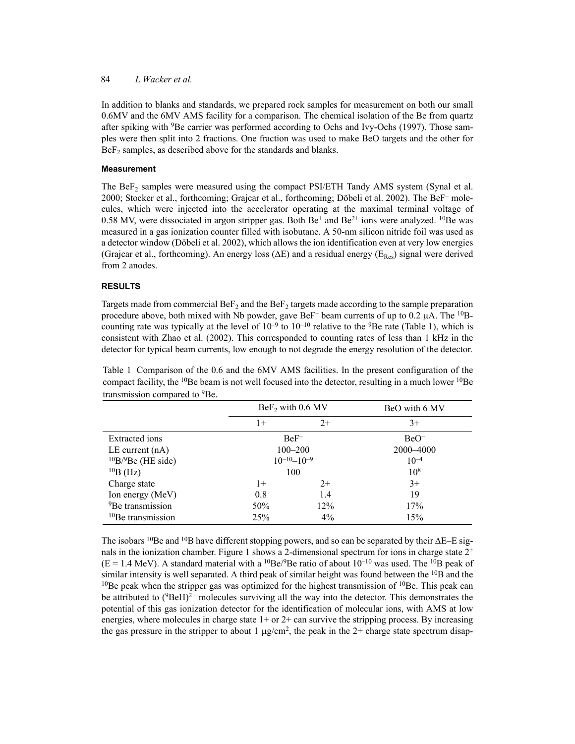### 84 *L Wacker et al.*

In addition to blanks and standards, we prepared rock samples for measurement on both our small 0.6MV and the 6MV AMS facility for a comparison. The chemical isolation of the Be from quartz after spiking with <sup>9</sup>Be carrier was performed according to Ochs and Ivy-Ochs (1997). Those samples were then split into 2 fractions. One fraction was used to make BeO targets and the other for  $BeF<sub>2</sub>$  samples, as described above for the standards and blanks.

### **Measurement**

The  $\text{BeF}_2$  samples were measured using the compact PSI/ETH Tandy AMS system (Synal et al. 2000; Stocker et al., forthcoming; Grajcar et al., forthcoming; Döbeli et al. 2002). The BeF– molecules, which were injected into the accelerator operating at the maximal terminal voltage of 0.58 MV, were dissociated in argon stripper gas. Both  $Be<sup>+</sup>$  and  $Be<sup>2+</sup>$  ions were analyzed. <sup>10</sup>Be was measured in a gas ionization counter filled with isobutane. A 50-nm silicon nitride foil was used as a detector window (Döbeli et al. 2002), which allows the ion identification even at very low energies (Grajcar et al., forthcoming). An energy loss ( $\Delta E$ ) and a residual energy ( $E_{Res}$ ) signal were derived from 2 anodes.

## **RESULTS**

Targets made from commercial  $B\epsilon F_2$  and the  $B\epsilon F_2$  targets made according to the sample preparation procedure above, both mixed with Nb powder, gave BeF<sup>-</sup> beam currents of up to  $0.2 \mu A$ . The <sup>10</sup>Bcounting rate was typically at the level of  $10^{-9}$  to  $10^{-10}$  relative to the <sup>9</sup>Be rate (Table 1), which is consistent with Zhao et al. (2002). This corresponded to counting rates of less than 1 kHz in the detector for typical beam currents, low enough to not degrade the energy resolution of the detector.

| Table 1 Comparison of the 0.6 and the 6MV AMS facilities. In the present configuration of the                                 |  |
|-------------------------------------------------------------------------------------------------------------------------------|--|
| compact facility, the <sup>10</sup> Be beam is not well focused into the detector, resulting in a much lower <sup>10</sup> Be |  |
| transmission compared to <sup>9</sup> Be.                                                                                     |  |

|                              | $BeF2$ with 0.6 MV |                      | BeO with 6 MV |  |
|------------------------------|--------------------|----------------------|---------------|--|
|                              | $1+$               | $2+$                 | $3+$          |  |
| <b>Extracted</b> ions        |                    | $BeF^-$              | $BeO^-$       |  |
| LE current $(nA)$            |                    | $100 - 200$          | 2000-4000     |  |
| $10B/9Be$ (HE side)          |                    | $10^{-10} - 10^{-9}$ | $10^{-4}$     |  |
| $^{10}B$ (Hz)                |                    | 100                  | $10^{8}$      |  |
| Charge state                 | $1+$               | $2+$                 | $3+$          |  |
| Ion energy (MeV)             | 0.8                | 1.4                  | 19            |  |
| <sup>9</sup> Be transmission | 50%                | 12%                  | 17%           |  |
| $10Be$ transmission          | 25%                | $4\%$                | 15%           |  |

The isobars <sup>10</sup>Be and <sup>10</sup>B have different stopping powers, and so can be separated by their  $\Delta E$ –E signals in the ionization chamber. Figure 1 shows a 2-dimensional spectrum for ions in charge state  $2^+$  $(E = 1.4 \text{ MeV})$ . A standard material with a <sup>10</sup>Be/<sup>9</sup>Be ratio of about 10<sup>-10</sup> was used. The <sup>10</sup>B peak of similar intensity is well separated. A third peak of similar height was found between the  $^{10}B$  and the  $10$ Be peak when the stripper gas was optimized for the highest transmission of  $10$ Be. This peak can be attributed to  $(^{9}BeH)^{2+}$  molecules surviving all the way into the detector. This demonstrates the potential of this gas ionization detector for the identification of molecular ions, with AMS at low energies, where molecules in charge state  $1+$  or  $2+$  can survive the stripping process. By increasing the gas pressure in the stripper to about 1  $\mu$ g/cm<sup>2</sup>, the peak in the 2+ charge state spectrum disap-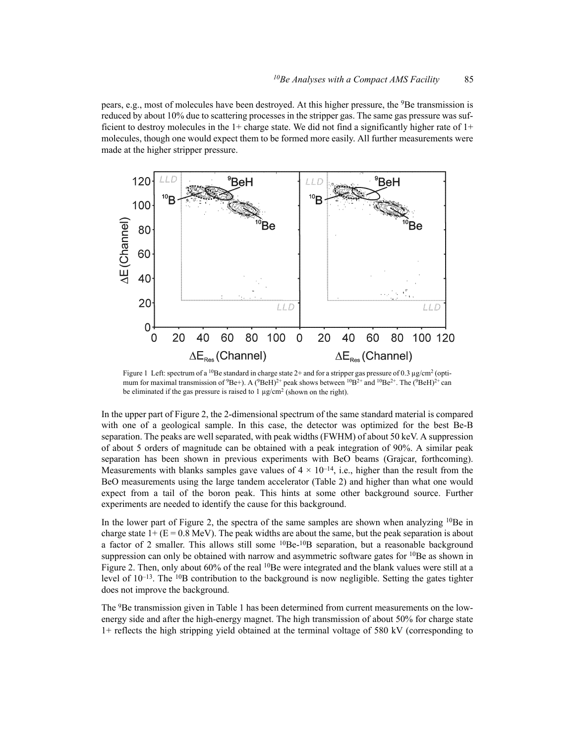pears, e.g., most of molecules have been destroyed. At this higher pressure, the <sup>9</sup>Be transmission is reduced by about 10% due to scattering processes in the stripper gas. The same gas pressure was sufficient to destroy molecules in the  $1+$  charge state. We did not find a significantly higher rate of  $1+$ molecules, though one would expect them to be formed more easily. All further measurements were made at the higher stripper pressure.



Figure 1 Left: spectrum of a <sup>10</sup>Be standard in charge state 2+ and for a stripper gas pressure of 0.3 µg/cm<sup>2</sup> (optimum for maximal transmission of  $9Be^+$ ). A  $(^9BeH)^2$ + peak shows between  $^{10}B^{2+}$  and  $^{10}Be^{2+}$ . The  $(^{9}BeH)^2$ + can be eliminated if the gas pressure is raised to  $1 \mu g/cm^2$  (shown on the right).

In the upper part of Figure 2, the 2-dimensional spectrum of the same standard material is compared with one of a geological sample. In this case, the detector was optimized for the best Be-B separation. The peaks are well separated, with peak widths (FWHM) of about 50 keV. A suppression of about 5 orders of magnitude can be obtained with a peak integration of 90%. A similar peak separation has been shown in previous experiments with BeO beams (Grajcar, forthcoming). Measurements with blanks samples gave values of  $4 \times 10^{-14}$ , i.e., higher than the result from the BeO measurements using the large tandem accelerator (Table 2) and higher than what one would expect from a tail of the boron peak. This hints at some other background source. Further experiments are needed to identify the cause for this background.

In the lower part of Figure 2, the spectra of the same samples are shown when analyzing  $10Be$  in charge state  $1+(E = 0.8 \text{ MeV})$ . The peak widths are about the same, but the peak separation is about a factor of 2 smaller. This allows still some  ${}^{10}Be-{}^{10}B$  separation, but a reasonable background suppression can only be obtained with narrow and asymmetric software gates for <sup>10</sup>Be as shown in Figure 2. Then, only about 60% of the real <sup>10</sup>Be were integrated and the blank values were still at a level of 10<sup>-13</sup>. The <sup>10</sup>B contribution to the background is now negligible. Setting the gates tighter does not improve the background.

The <sup>9</sup>Be transmission given in Table 1 has been determined from current measurements on the lowenergy side and after the high-energy magnet. The high transmission of about 50% for charge state 1+ reflects the high stripping yield obtained at the terminal voltage of 580 kV (corresponding to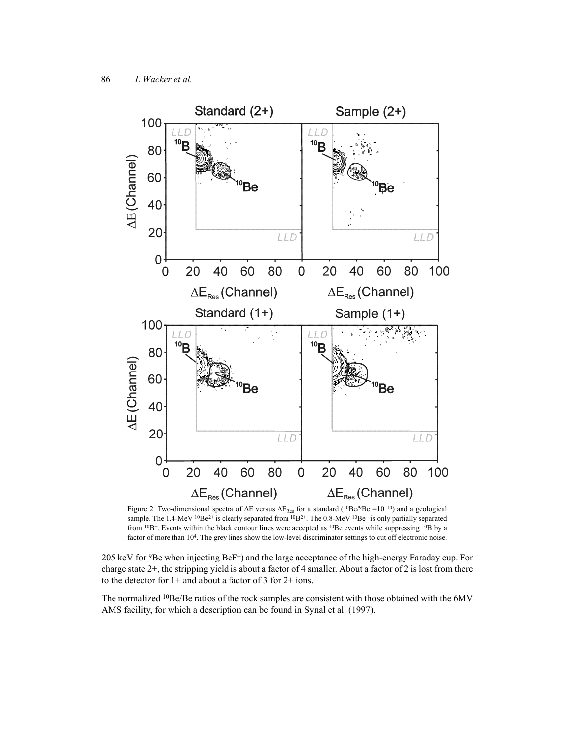

Figure 2 Two-dimensional spectra of ∆E versus ∆ΕRes for a standard (10Be/9Be =10–10) and a geological sample. The 1.4-MeV  $^{10}Be^{2+}$  is clearly separated from  $^{10}B^{2+}$ . The 0.8-MeV  $^{10}Be^{+}$  is only partially separated from <sup>10</sup>B<sup>+</sup>. Events within the black contour lines were accepted as <sup>10</sup>Be events while suppressing <sup>10</sup>B by a factor of more than 10<sup>4</sup>. The grey lines show the low-level discriminator settings to cut off electronic noise.

205 keV for 9Be when injecting BeF–) and the large acceptance of the high-energy Faraday cup. For charge state 2+, the stripping yield is about a factor of 4 smaller. About a factor of 2 is lost from there to the detector for 1+ and about a factor of 3 for 2+ ions.

The normalized <sup>10</sup>Be/Be ratios of the rock samples are consistent with those obtained with the 6MV AMS facility, for which a description can be found in Synal et al. (1997).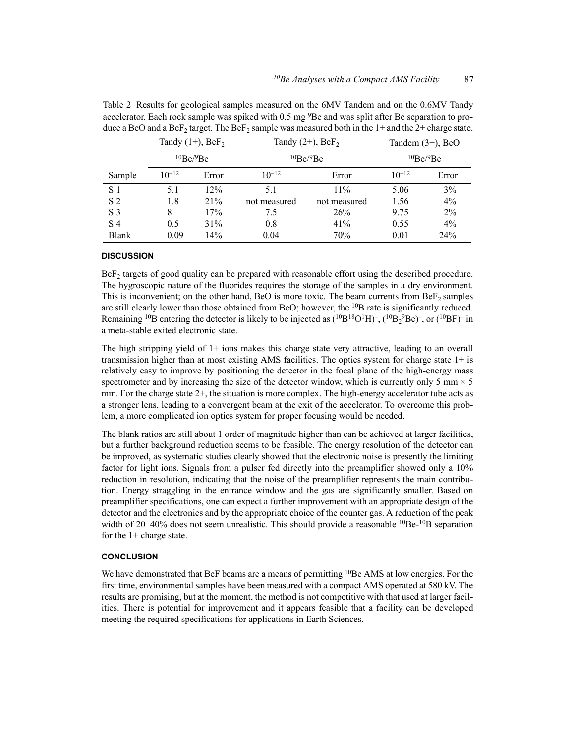|                | Tandy $(1+)$ , BeF <sub>2</sub> |       | Tandy $(2+)$ , BeF <sub>2</sub> |              | Tandem $(3+)$ , BeO |       |
|----------------|---------------------------------|-------|---------------------------------|--------------|---------------------|-------|
|                | 10Be/9Be                        |       | 10Be/9Be                        |              | 10Be/9Be            |       |
| Sample         | $10^{-12}$                      | Error | $10^{-12}$                      | Error        | $10^{-12}$          | Error |
| S <sub>1</sub> | 5.1                             | 12%   | 5.1                             | $11\%$       | 5.06                | 3%    |
| S <sub>2</sub> | 1.8                             | 21%   | not measured                    | not measured | 1.56                | 4%    |
| S <sub>3</sub> | 8                               | 17%   | 7.5                             | 26%          | 9.75                | $2\%$ |
| S 4            | 0.5                             | 31%   | 0.8                             | 41%          | 0.55                | $4\%$ |
| <b>Blank</b>   | 0.09                            | 14%   | 0.04                            | 70%          | 0.01                | 24%   |

Table 2 Results for geological samples measured on the 6MV Tandem and on the 0.6MV Tandy accelerator. Each rock sample was spiked with 0.5 mg <sup>9</sup>Be and was split after Be separation to produce a BeO and a BeF<sub>2</sub> target. The BeF<sub>2</sub> sample was measured both in the 1+ and the 2+ charge state.

### **DISCUSSION**

 $Bef<sub>2</sub>$  targets of good quality can be prepared with reasonable effort using the described procedure. The hygroscopic nature of the fluorides requires the storage of the samples in a dry environment. This is inconvenient; on the other hand, BeO is more toxic. The beam currents from  $\text{BeF}_2$  samples are still clearly lower than those obtained from BeO; however, the <sup>10</sup>B rate is significantly reduced. Remaining <sup>10</sup>B entering the detector is likely to be injected as  $(^{10}B^{18}O^{1}H)^{-}$ ,  $(^{10}B_{2}^{9}Be)^{-}$ , or  $(^{10}BF)^{-}$  in a meta-stable exited electronic state.

The high stripping yield of 1+ ions makes this charge state very attractive, leading to an overall transmission higher than at most existing AMS facilities. The optics system for charge state 1+ is relatively easy to improve by positioning the detector in the focal plane of the high-energy mass spectrometer and by increasing the size of the detector window, which is currently only 5 mm  $\times$  5 mm. For the charge state  $2+$ , the situation is more complex. The high-energy accelerator tube acts as a stronger lens, leading to a convergent beam at the exit of the accelerator. To overcome this problem, a more complicated ion optics system for proper focusing would be needed.

The blank ratios are still about 1 order of magnitude higher than can be achieved at larger facilities, but a further background reduction seems to be feasible. The energy resolution of the detector can be improved, as systematic studies clearly showed that the electronic noise is presently the limiting factor for light ions. Signals from a pulser fed directly into the preamplifier showed only a 10% reduction in resolution, indicating that the noise of the preamplifier represents the main contribution. Energy straggling in the entrance window and the gas are significantly smaller. Based on preamplifier specifications, one can expect a further improvement with an appropriate design of the detector and the electronics and by the appropriate choice of the counter gas. A reduction of the peak width of 20–40% does not seem unrealistic. This should provide a reasonable  ${}^{10}Be-{}^{10}B$  separation for the 1+ charge state.

### **CONCLUSION**

We have demonstrated that BeF beams are a means of permitting <sup>10</sup>Be AMS at low energies. For the first time, environmental samples have been measured with a compact AMS operated at 580 kV. The results are promising, but at the moment, the method is not competitive with that used at larger facilities. There is potential for improvement and it appears feasible that a facility can be developed meeting the required specifications for applications in Earth Sciences.